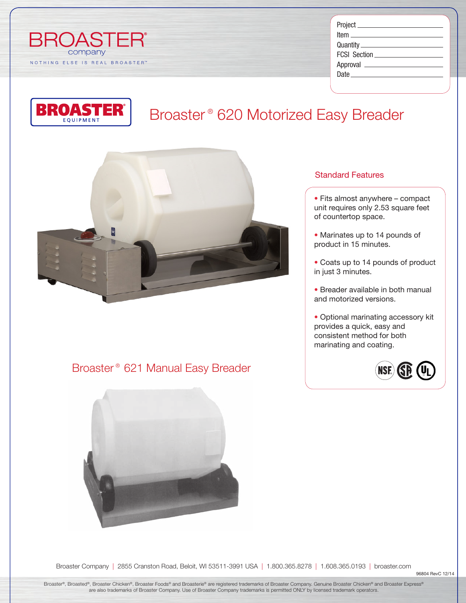

| <u> tem ____________________</u>                                                                                                                                                                                               |  |
|--------------------------------------------------------------------------------------------------------------------------------------------------------------------------------------------------------------------------------|--|
|                                                                                                                                                                                                                                |  |
|                                                                                                                                                                                                                                |  |
|                                                                                                                                                                                                                                |  |
| Date and the contract of the contract of the contract of the contract of the contract of the contract of the contract of the contract of the contract of the contract of the contract of the contract of the contract of the c |  |
|                                                                                                                                                                                                                                |  |

# Broaster ® 620 Motorized Easy Breader



### Broaster ® 621 Manual Easy Breader



### Standard Features

- *•* Fits almost anywhere compact unit requires only 2.53 square feet of countertop space.
- *•* Marinates up to 14 pounds of product in 15 minutes.
- *•* Coats up to 14 pounds of product in just 3 minutes.
- *•* Breader available in both manual and motorized versions.
- *•* Optional marinating accessory kit provides a quick, easy and consistent method for both marinating and coating.



Broaster Company | 2855 Cranston Road, Beloit, WI 53511-3991 USA | 1.800.365.8278 | 1.608.365.0193 | broaster.com

96804 RevC 12/14

Broaster®, Broasted®, Broaster Chicken®, Broaster Foods® and Broasterie® are registered trademarks of Broaster Company. Genuine Broaster Chicken® and Broaster Express® are also trademarks of Broaster Company. Use of Broaster Company trademarks is permitted ONLY by licensed trademark operators.